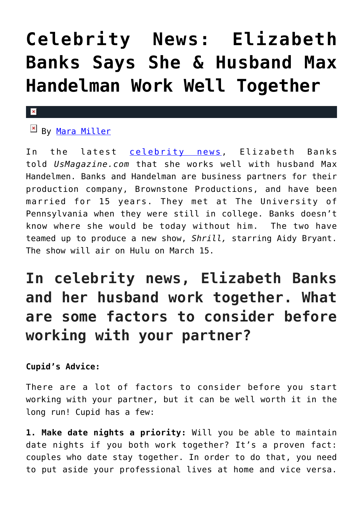## **[Celebrity News: Elizabeth](https://cupidspulse.com/128784/celebrity-news-elizabeth-banks-says-she-husband-max-handelman-work-well-together/) [Banks Says She & Husband Max](https://cupidspulse.com/128784/celebrity-news-elizabeth-banks-says-she-husband-max-handelman-work-well-together/) [Handelman Work Well Together](https://cupidspulse.com/128784/celebrity-news-elizabeth-banks-says-she-husband-max-handelman-work-well-together/)**

## $\mathbf{x}$

**EX By [Mara Miller](http://cupidspulse.com/128278/mara-miller/)** 

In the latest [celebrity news,](http://cupidspulse.com/?s=celebrity+news) Elizabeth Banks told *UsMagazine.com* that she works well with husband Max Handelmen. Banks and Handelman are business partners for their production company, Brownstone Productions, and have been married for 15 years. They met at The University of Pennsylvania when they were still in college. Banks doesn't know where she would be today without him. The two have teamed up to produce a new show, *Shrill,* starring Aidy Bryant. The show will air on Hulu on March 15.

## **In celebrity news, Elizabeth Banks and her husband work together. What are some factors to consider before working with your partner?**

**Cupid's Advice:**

There are a lot of factors to consider before you start working with your partner, but it can be well worth it in the long run! Cupid has a few:

**1. Make date nights a priority:** Will you be able to maintain date nights if you both work together? It's a proven fact: couples who date stay together. In order to do that, you need to put aside your professional lives at home and vice versa.